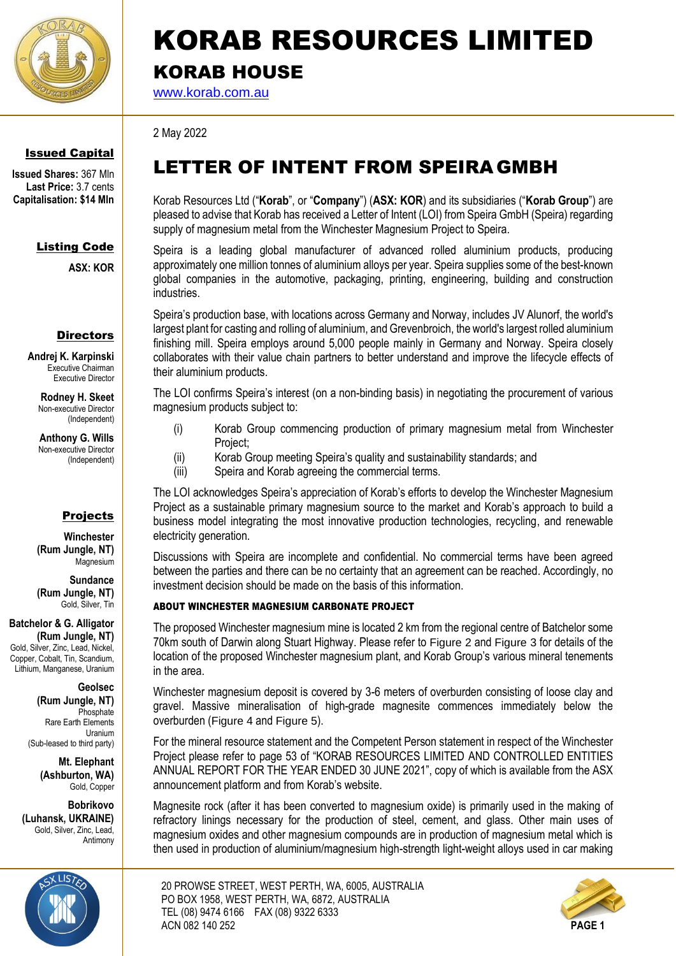

### Issued Capital

**Issued Shares:** 367 Mln **Last Price:** 3.7 cents **Capitalisation: \$14 Mln**

### Listing Code

**ASX: KOR**

### **Directors**

**Andrej K. Karpinski** Executive Chairman Executive Director

> **Rodney H. Skeet** Non-executive Director (Independent)

**Anthony G. Wills** Non-executive Director (Independent)

### Projects

**Winchester (Rum Jungle, NT)** Magnesium

**Sundance (Rum Jungle, NT)** Gold, Silver, Tin

**Batchelor & G. Alligator (Rum Jungle, NT)** Gold, Silver, Zinc, Lead, Nickel, Copper, Cobalt, Tin, Scandium,

Lithium, Manganese, Uranium

**Geolsec** 

**(Rum Jungle, NT) Phosphate** Rare Earth Elements Uranium (Sub-leased to third party)

> **Mt. Elephant (Ashburton, WA)** Gold, Copper

**Bobrikovo (Luhansk, UKRAINE)** Gold, Silver, Zinc, Lead, Antimony



### KORAB RESOURCES LIMITED KORAB HOUSE

[www.korab.com.au](http://www.korab.com.au/)

2 May 2022

### LETTER OF INTENT FROM SPEIRA GMBH

Korab Resources Ltd ("**Korab**", or "**Company**") (**ASX: KOR**) and its subsidiaries ("**Korab Group**") are pleased to advise that Korab has received a Letter of Intent (LOI) from Speira GmbH (Speira) regarding supply of magnesium metal from the Winchester Magnesium Project to Speira.

Speira is a leading global manufacturer of advanced rolled aluminium products, producing approximately one million tonnes of aluminium alloys per year. Speira supplies some of the best-known global companies in the automotive, packaging, printing, engineering, building and construction industries.

Speira's production base, with locations across Germany and Norway, includes JV Alunorf, the world's largest plant for casting and rolling of aluminium, and Grevenbroich, the world's largest rolled aluminium finishing mill. Speira employs around 5,000 people mainly in Germany and Norway. Speira closely collaborates with their value chain partners to better understand and improve the lifecycle effects of their aluminium products.

The LOI confirms Speira's interest (on a non-binding basis) in negotiating the procurement of various magnesium products subject to:

- (i) Korab Group commencing production of primary magnesium metal from Winchester Project;
- (ii) Korab Group meeting Speira's quality and sustainability standards; and
- (iii) Speira and Korab agreeing the commercial terms.

The LOI acknowledges Speira's appreciation of Korab's efforts to develop the Winchester Magnesium Project as a sustainable primary magnesium source to the market and Korab's approach to build a business model integrating the most innovative production technologies, recycling, and renewable electricity generation.

Discussions with Speira are incomplete and confidential. No commercial terms have been agreed between the parties and there can be no certainty that an agreement can be reached. Accordingly, no investment decision should be made on the basis of this information.

#### ABOUT WINCHESTER MAGNESIUM CARBONATE PROJECT

The proposed Winchester magnesium mine is located 2 km from the regional centre of Batchelor some 70km south of Darwin along Stuart Highway. Please refer to [Figure 2](#page-2-0) and [Figure 3](#page-2-1) for details of the location of the proposed Winchester magnesium plant, and Korab Group's various mineral tenements in the area.

Winchester magnesium deposit is covered by 3-6 meters of overburden consisting of loose clay and gravel. Massive mineralisation of high-grade magnesite commences immediately below the overburden ([Figure 4](#page-3-0) and [Figure 5](#page-3-1)).

For the mineral resource statement and the Competent Person statement in respect of the Winchester Project please refer to page 53 of "KORAB RESOURCES LIMITED AND CONTROLLED ENTITIES ANNUAL REPORT FOR THE YEAR ENDED 30 JUNE 2021", copy of which is available from the ASX announcement platform and from Korab's website.

Magnesite rock (after it has been converted to magnesium oxide) is primarily used in the making of refractory linings necessary for the production of steel, cement, and glass. Other main uses of magnesium oxides and other magnesium compounds are in production of magnesium metal which is then used in production of aluminium/magnesium high-strength light-weight alloys used in car making

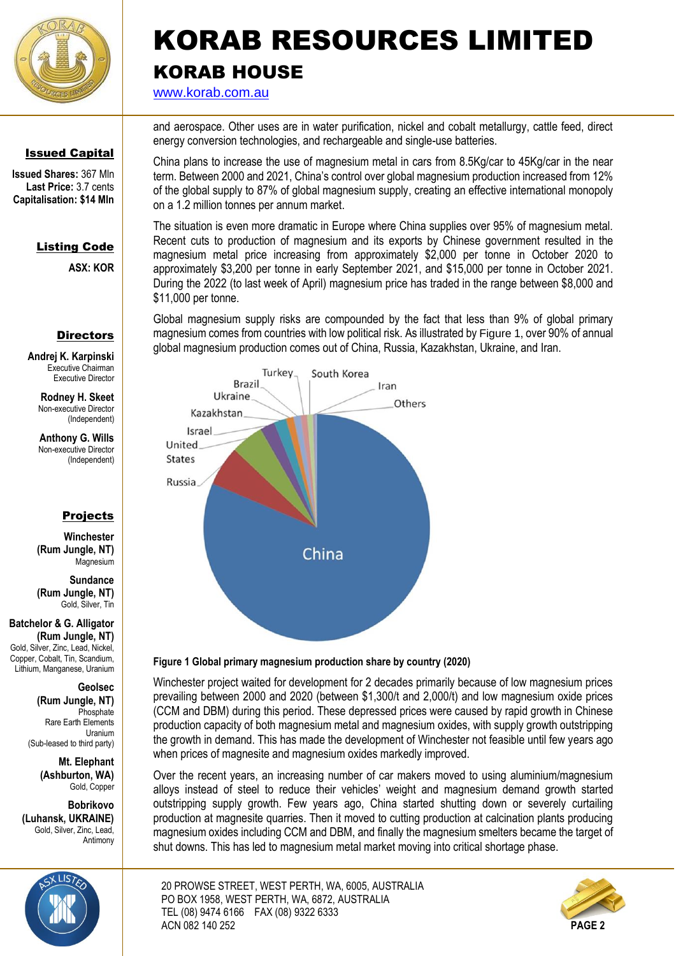

### Issued Capital

**Issued Shares:** 367 Mln **Last Price:** 3.7 cents **Capitalisation: \$14 Mln**

### Listing Code

**ASX: KOR**

### **Directors**

**Andrej K. Karpinski** Executive Chairman Executive Director

> **Rodney H. Skeet** Non-executive Director (Independent)

**Anthony G. Wills** Non-executive Director (Independent)

### Projects

**Winchester (Rum Jungle, NT)** Magnesium

**Sundance (Rum Jungle, NT)** Gold, Silver, Tin

**Batchelor & G. Alligator (Rum Jungle, NT)** Gold, Silver, Zinc, Lead, Nickel, Copper, Cobalt, Tin, Scandium, Lithium, Manganese, Uranium

#### **Geolsec**

**(Rum Jungle, NT)** Phosphate Rare Earth Elements Uranium (Sub-leased to third party)

> **Mt. Elephant (Ashburton, WA)** Gold, Copper

**Bobrikovo (Luhansk, UKRAINE)** Gold, Silver, Zinc, Lead, Antimony



### KORAB RESOURCES LIMITED KORAB HOUSE

[www.korab.com.au](http://www.korab.com.au/)

and aerospace. Other uses are in water purification, nickel and cobalt metallurgy, cattle feed, direct energy conversion technologies, and rechargeable and single-use batteries.

China plans to increase the use of magnesium metal in cars from 8.5Kg/car to 45Kg/car in the near term. Between 2000 and 2021, China's control over global magnesium production increased from 12% of the global supply to 87% of global magnesium supply, creating an effective international monopoly on a 1.2 million tonnes per annum market.

The situation is even more dramatic in Europe where China supplies over 95% of magnesium metal. Recent cuts to production of magnesium and its exports by Chinese government resulted in the magnesium metal price increasing from approximately \$2,000 per tonne in October 2020 to approximately \$3,200 per tonne in early September 2021, and \$15,000 per tonne in October 2021. During the 2022 (to last week of April) magnesium price has traded in the range between \$8,000 and \$11,000 per tonne.

Global magnesium supply risks are compounded by the fact that less than 9% of global primary magnesium comes from countries with low political risk. As illustrated by [Figure 1](#page-1-0), over 90% of annual global magnesium production comes out of China, Russia, Kazakhstan, Ukraine, and Iran.



#### <span id="page-1-0"></span>**Figure 1 Global primary magnesium production share by country (2020)**

Winchester project waited for development for 2 decades primarily because of low magnesium prices prevailing between 2000 and 2020 (between \$1,300/t and 2,000/t) and low magnesium oxide prices (CCM and DBM) during this period. These depressed prices were caused by rapid growth in Chinese production capacity of both magnesium metal and magnesium oxides, with supply growth outstripping the growth in demand. This has made the development of Winchester not feasible until few years ago when prices of magnesite and magnesium oxides markedly improved.

Over the recent years, an increasing number of car makers moved to using aluminium/magnesium alloys instead of steel to reduce their vehicles' weight and magnesium demand growth started outstripping supply growth. Few years ago, China started shutting down or severely curtailing production at magnesite quarries. Then it moved to cutting production at calcination plants producing magnesium oxides including CCM and DBM, and finally the magnesium smelters became the target of shut downs. This has led to magnesium metal market moving into critical shortage phase.

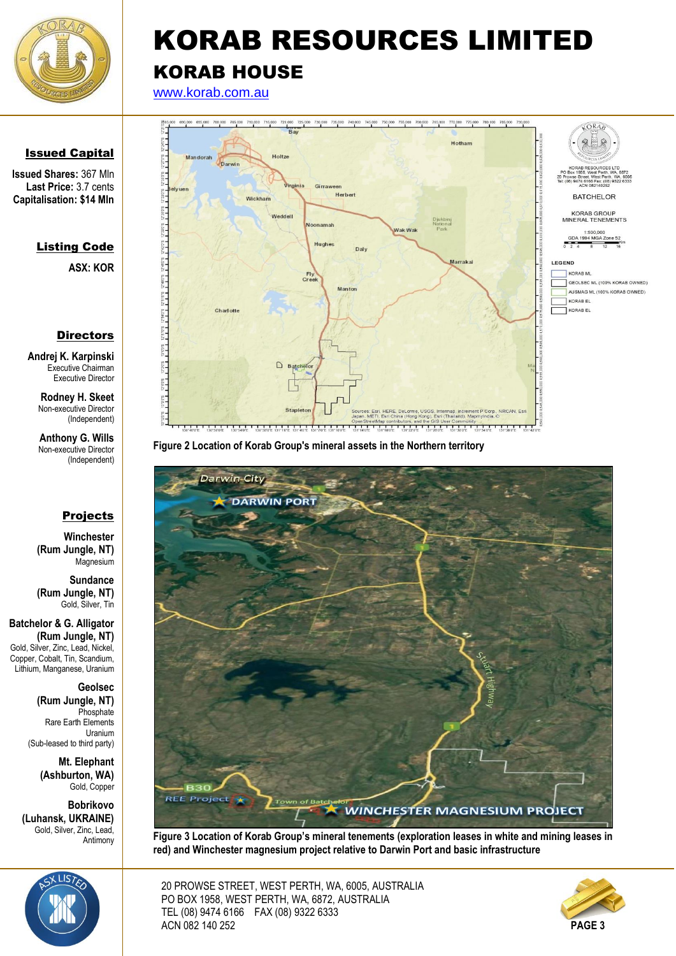

[www.korab.com.au](http://www.korab.com.au/)



<span id="page-2-0"></span>**Figure 2 Location of Korab Group's mineral assets in the Northern territory** 



**Figure 3 Location of Korab Group's mineral tenements (exploration leases in white and mining leases in red) and Winchester magnesium project relative to Darwin Port and basic infrastructure**

<span id="page-2-1"></span>20 PROWSE STREET, WEST PERTH, WA, 6005, AUSTRALIA PO BOX 1958, WEST PERTH, WA, 6872, AUSTRALIA TEL (08) 9474 6166 FAX (08) 9322 6333 ACN 082 140 252 **PAGE 3**



### Issued Capital

**Issued Shares:** 367 Mln **Last Price:** 3.7 cents **Capitalisation: \$14 Mln**

### Listing Code

**ASX: KOR**

### **Directors**

**Andrej K. Karpinski** Executive Chairman Executive Director

**Rodney H. Skeet** Non-executive Director (Independent)

**Anthony G. Wills** Non-executive Director (Independent)

### Projects

**Winchester (Rum Jungle, NT)** Magnesium

**Sundance (Rum Jungle, NT)** Gold, Silver, Tin

**Batchelor & G. Alligator (Rum Jungle, NT)** Gold, Silver, Zinc, Lead, Nickel, Copper, Cobalt, Tin, Scandium, Lithium, Manganese, Uranium

> **Geolsec (Rum Jungle, NT) Phosphate** Rare Earth Elements Uranium (Sub-leased to third party)

> > **Mt. Elephant (Ashburton, WA)** Gold, Copper

**Bobrikovo (Luhansk, UKRAINE)** Gold, Silver, Zinc, Lead, Antimony

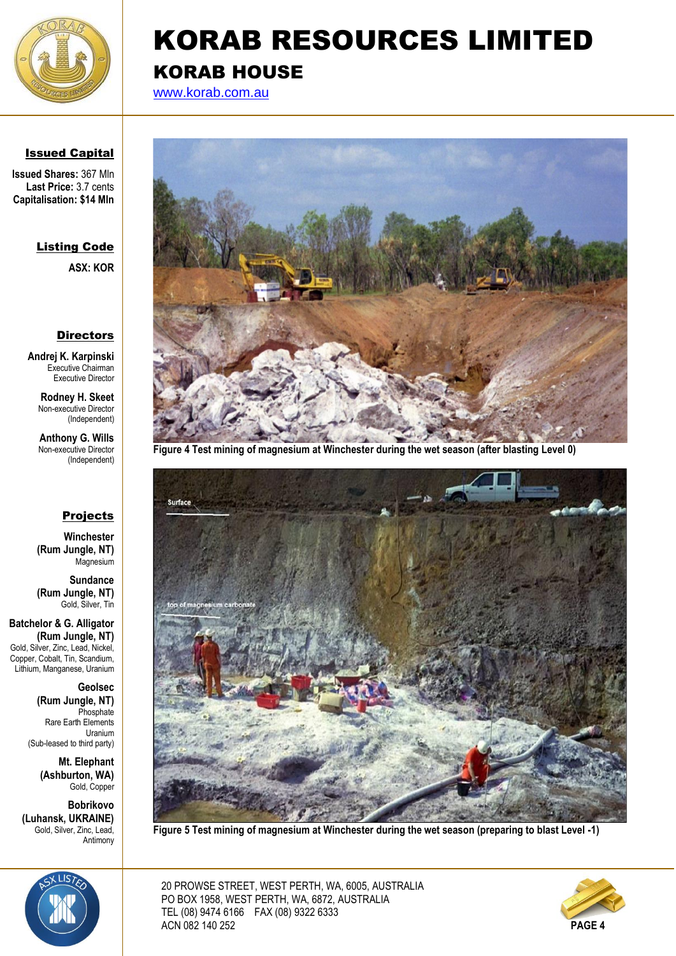

[www.korab.com.au](http://www.korab.com.au/)

### Issued Capital

**Issued Shares:** 367 Mln **Last Price:** 3.7 cents **Capitalisation: \$14 Mln**

### Listing Code

**ASX: KOR**

#### **Directors**

**Andrej K. Karpinski** Executive Chairman Executive Director

> **Rodney H. Skeet** Non-executive Director (Independent)

**Anthony G. Wills** Non-executive Director (Independent)

### Projects

**Winchester (Rum Jungle, NT)** Magnesium

**Sundance (Rum Jungle, NT)** Gold, Silver, Tin

**Batchelor & G. Alligator (Rum Jungle, NT)** Gold, Silver, Zinc, Lead, Nickel, Copper, Cobalt, Tin, Scandium, Lithium, Manganese, Uranium

> **Geolsec (Rum Jungle, NT)** Phosphate Rare Earth Elements Uranium (Sub-leased to third party)

> > <span id="page-3-1"></span>**Mt. Elephant (Ashburton, WA)** Gold, Copper

**Bobrikovo (Luhansk, UKRAINE)** Gold, Silver, Zinc, Lead, Antimony



**Figure 4 Test mining of magnesium at Winchester during the wet season (after blasting Level 0)**

<span id="page-3-0"></span>

**Figure 5 Test mining of magnesium at Winchester during the wet season (preparing to blast Level -1)**



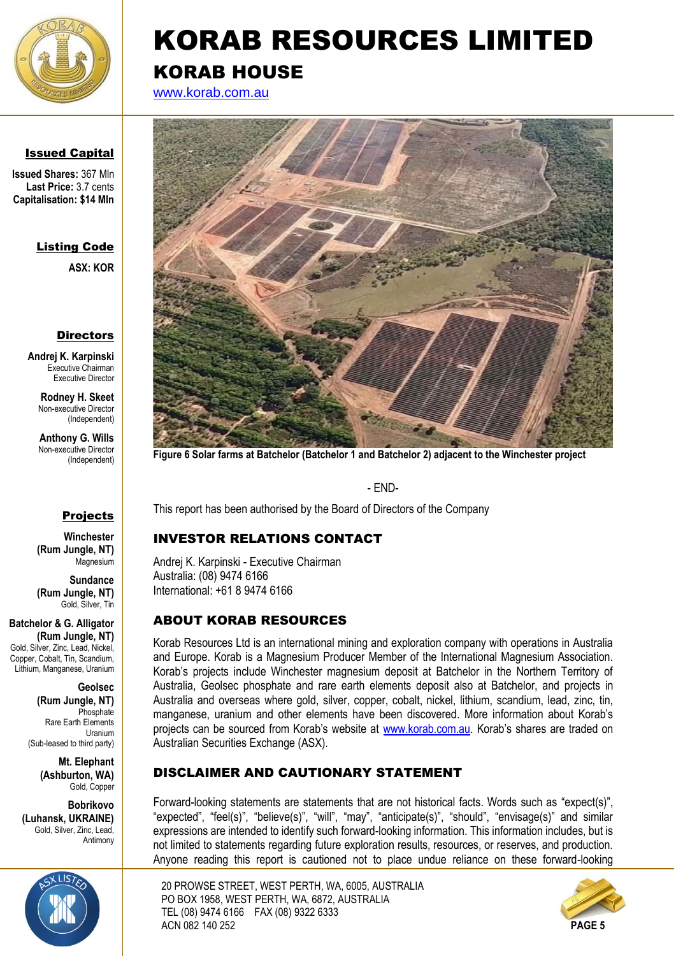

[www.korab.com.au](http://www.korab.com.au/)



**Issued Shares:** 367 Mln **Last Price:** 3.7 cents **Capitalisation: \$14 Mln**

### Listing Code

**ASX: KOR**

### **Directors**

**Andrej K. Karpinski** Executive Chairman Executive Director

> **Rodney H. Skeet** Non-executive Director (Independent)

**Anthony G. Wills** Non-executive Director (Independent)

### Projects

**Winchester (Rum Jungle, NT)** Magnesium

**Sundance (Rum Jungle, NT)** Gold, Silver, Tin

**Batchelor & G. Alligator (Rum Jungle, NT)** Gold, Silver, Zinc, Lead, Nickel, Copper, Cobalt, Tin, Scandium Lithium, Manganese, Uranium

> **Geolsec (Rum Jungle, NT)** Phosphate Rare Earth Elements Uranium (Sub-leased to third party)

> > **Mt. Elephant (Ashburton, WA)** Gold, Copper

**Bobrikovo (Luhansk, UKRAINE)** Gold, Silver, Zinc, Lead, Antimony





**Figure 6 Solar farms at Batchelor (Batchelor 1 and Batchelor 2) adjacent to the Winchester project** 

- END-

This report has been authorised by the Board of Directors of the Company

### INVESTOR RELATIONS CONTACT

Andrej K. Karpinski - Executive Chairman Australia: (08) 9474 6166 International: +61 8 9474 6166

### ABOUT KORAB RESOURCES

Korab Resources Ltd is an international mining and exploration company with operations in Australia and Europe. Korab is a Magnesium Producer Member of the International Magnesium Association. Korab's projects include Winchester magnesium deposit at Batchelor in the Northern Territory of Australia, Geolsec phosphate and rare earth elements deposit also at Batchelor, and projects in Australia and overseas where gold, silver, copper, cobalt, nickel, lithium, scandium, lead, zinc, tin, manganese, uranium and other elements have been discovered. More information about Korab's projects can be sourced from Korab's website at [www.korab.com.au](http://www.korab.com.au/). Korab's shares are traded on Australian Securities Exchange (ASX).

### DISCLAIMER AND CAUTIONARY STATEMENT

Forward-looking statements are statements that are not historical facts. Words such as "expect(s)", "expected", "feel(s)", "believe(s)", "will", "may", "anticipate(s)", "should", "envisage(s)" and similar expressions are intended to identify such forward-looking information. This information includes, but is not limited to statements regarding future exploration results, resources, or reserves, and production. Anyone reading this report is cautioned not to place undue reliance on these forward-looking